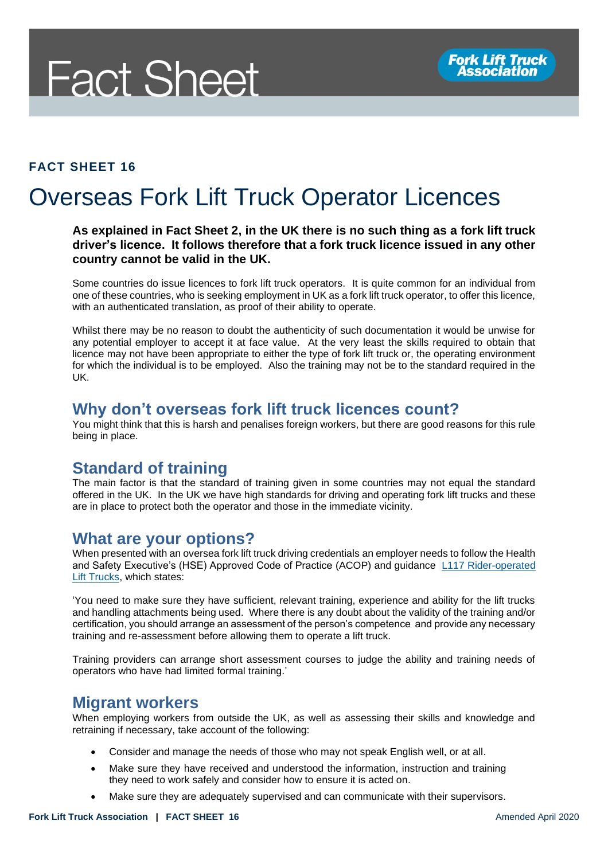

#### **FACT SHEET 16**

## Overseas Fork Lift Truck Operator Licences

#### **As explained in Fact Sheet 2, in the UK there is no such thing as a fork lift truck driver's licence. It follows therefore that a fork truck licence issued in any other country cannot be valid in the UK.**

Some countries do issue licences to fork lift truck operators. It is quite common for an individual from one of these countries, who is seeking employment in UK as a fork lift truck operator, to offer this licence, with an authenticated translation, as proof of their ability to operate.

Whilst there may be no reason to doubt the authenticity of such documentation it would be unwise for any potential employer to accept it at face value. At the very least the skills required to obtain that licence may not have been appropriate to either the type of fork lift truck or, the operating environment for which the individual is to be employed. Also the training may not be to the standard required in the UK.

#### **Why don't overseas fork lift truck licences count?**

You might think that this is harsh and penalises foreign workers, but there are good reasons for this rule being in place.

#### **Standard of training**

The main factor is that the standard of training given in some countries may not equal the standard offered in the UK. In the UK we have high standards for driving and operating fork lift trucks and these are in place to protect both the operator and those in the immediate vicinity.

#### **What are your options?**

When presented with an oversea fork lift truck driving credentials an employer needs to follow the Health and Safety Executive's (HSE) Approved Code of Practice (ACOP) and guidance [L117 Rider-operated](http://www.hse.gov.uk/pUbns/priced/l117.pdf)  [Lift Trucks,](http://www.hse.gov.uk/pUbns/priced/l117.pdf) which states:

'You need to make sure they have sufficient, relevant training, experience and ability for the lift trucks and handling attachments being used. Where there is any doubt about the validity of the training and/or certification, you should arrange an assessment of the person's competence and provide any necessary training and re-assessment before allowing them to operate a lift truck.

Training providers can arrange short assessment courses to judge the ability and training needs of operators who have had limited formal training.'

#### **Migrant workers**

When employing workers from outside the UK, as well as assessing their skills and knowledge and retraining if necessary, take account of the following:

- Consider and manage the needs of those who may not speak English well, or at all.
- Make sure they have received and understood the information, instruction and training they need to work safely and consider how to ensure it is acted on.
- Make sure they are adequately supervised and can communicate with their supervisors.